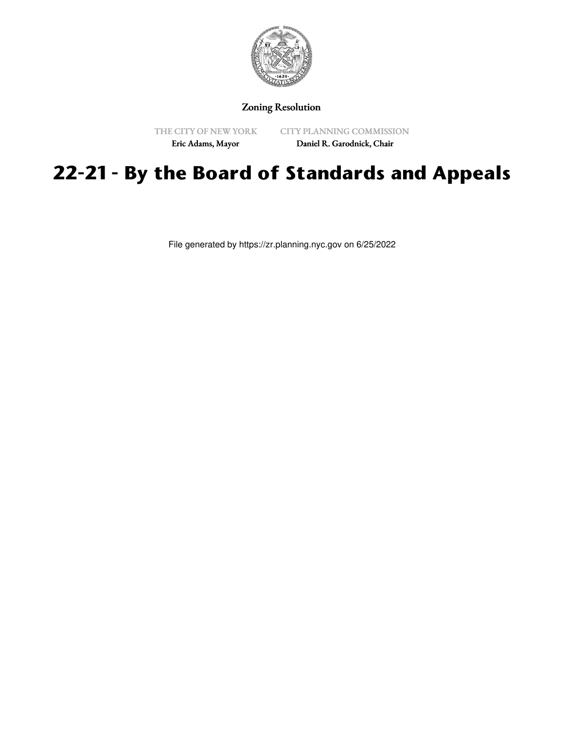

Zoning Resolution

THE CITY OF NEW YORK Eric Adams, Mayor

CITY PLANNING COMMISSION Daniel R. Garodnick, Chair

## **22-21 - By the Board of Standards and Appeals**

File generated by https://zr.planning.nyc.gov on 6/25/2022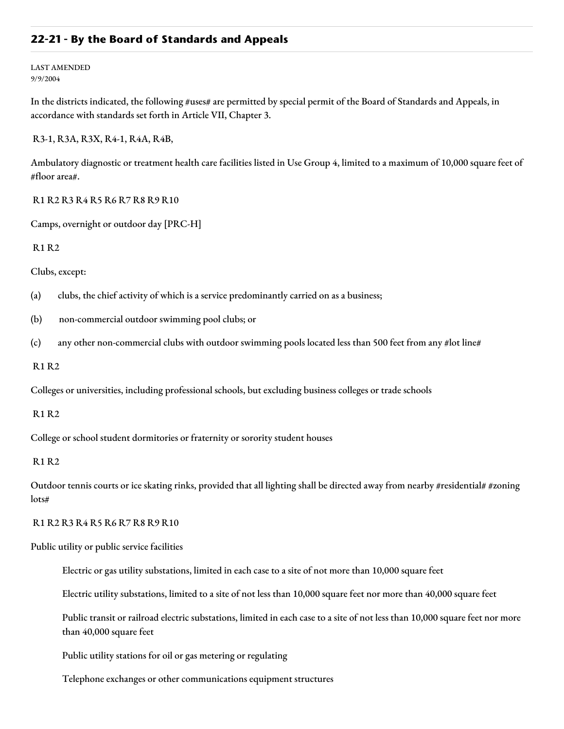## **22-21 - By the Board of Standards and Appeals**

LAST AMENDED 9/9/2004

In the districts indicated, the following #uses# are permitted by special permit of the Board of Standards and Appeals, in accordance with standards set forth in Article VII, Chapter 3.

R3-1, R3A, R3X, R4-1, R4A, R4B,

Ambulatory diagnostic or treatment health care facilities listed in Use Group 4, limited to a maximum of 10,000 square feet of #floor area#.

R1 R2 R3 R4 R5 R6 R7 R8 R9 R10

Camps, overnight or outdoor day [PRC-H]

R1 R2

Clubs, except:

(a) clubs, the chief activity of which is a service predominantly carried on as a business;

(b) non-commercial outdoor swimming pool clubs; or

(c) any other non-commercial clubs with outdoor swimming pools located less than 500 feet from any #lot line#

R1 R2

Colleges or universities, including professional schools, but excluding business colleges or trade schools

R1 R2

College or school student dormitories or fraternity or sorority student houses

## R1 R2

Outdoor tennis courts or ice skating rinks, provided that all lighting shall be directed away from nearby #residential# #zoning lots#

R1 R2 R3 R4 R5 R6 R7 R8 R9 R10

Public utility or public service facilities

Electric or gas utility substations, limited in each case to a site of not more than 10,000 square feet

Electric utility substations, limited to a site of not less than 10,000 square feet nor more than 40,000 square feet

Public transit or railroad electric substations, limited in each case to a site of not less than 10,000 square feet nor more than 40,000 square feet

Public utility stations for oil or gas metering or regulating

Telephone exchanges or other communications equipment structures